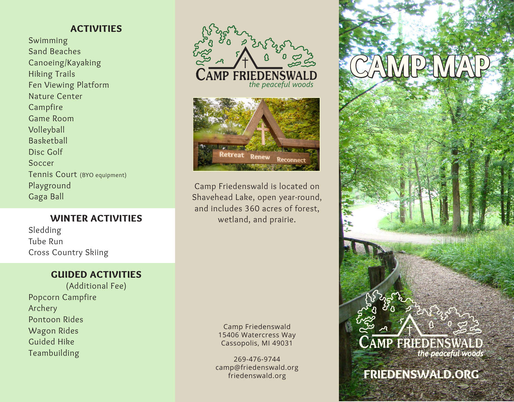## ACTIVITIES

Swimming Sand Beaches Canoeing/Kayaking Hiking Trails Fen Viewing Platform Nature Center Campfire Game Room Volleyball Basketball Disc Golf Soccer Tennis Court (BYO equipment) Playground Gaga Ball

## WINTER ACTIVITIES

Sledding Tube Run Cross Country Skiing

## GUIDED ACTIVITIES

(Additional Fee) Popcorn Campfire Archery Pontoon Rides Wagon Rides Guided Hike Teambuilding





Camp Friedenswald is located on Shavehead Lake, open year-round, and includes 360 acres of forest, wetland, and prairie.

> Camp Friedenswald 15406 Watercress Way Cassopolis, MI 49031

269-476-9744 camp@friedenswald.org friedenswald.org

## CAMP MAP



FRIEDENSWALD.ORG